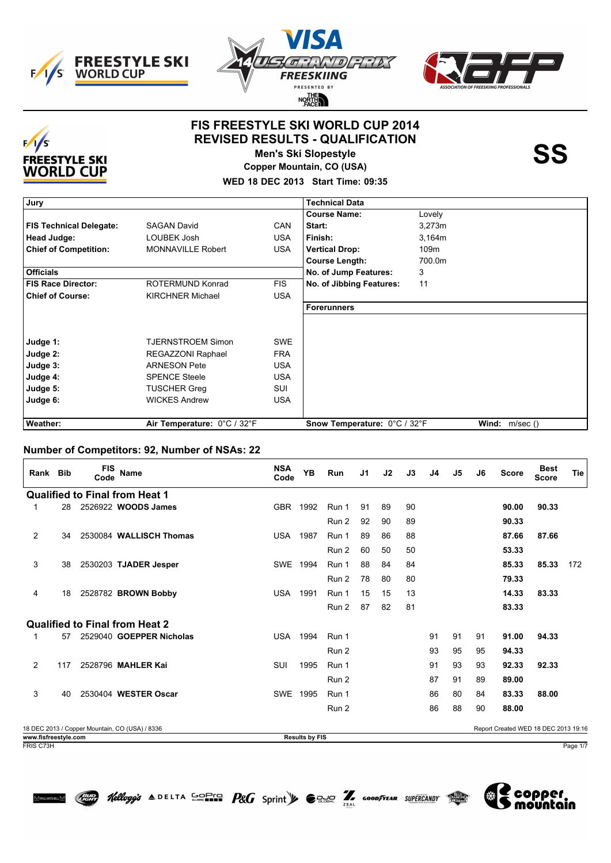





#### **FIS FREESTYLE SKI WORLD CUP 2014 REVISED RESULTS - QUALIFICATION**



**Men's Ski Slopestyle Copper Mountain, CO (USA)**

**WED 18 DEC 2013 Start Time: 09:35**

| Jury                           |                             |            | <b>Technical Data</b>        |        |                        |
|--------------------------------|-----------------------------|------------|------------------------------|--------|------------------------|
|                                |                             |            | <b>Course Name:</b>          | Lovely |                        |
| <b>FIS Technical Delegate:</b> | <b>SAGAN David</b>          | <b>CAN</b> | Start:                       | 3,273m |                        |
| Head Judge:                    | LOUBEK Josh                 | <b>USA</b> | Finish:                      | 3,164m |                        |
| <b>Chief of Competition:</b>   | <b>MONNAVILLE Robert</b>    | USA.       | <b>Vertical Drop:</b>        | 109m   |                        |
|                                |                             |            | <b>Course Length:</b>        | 700.0m |                        |
| <b>Officials</b>               |                             |            | No. of Jump Features:        | 3      |                        |
| <b>FIS Race Director:</b>      | ROTERMUND Konrad            | <b>FIS</b> | No. of Jibbing Features:     | 11     |                        |
| <b>Chief of Course:</b>        | <b>KIRCHNER Michael</b>     | <b>USA</b> |                              |        |                        |
|                                |                             |            | <b>Forerunners</b>           |        |                        |
|                                |                             |            |                              |        |                        |
|                                |                             |            |                              |        |                        |
| Judge 1:                       | <b>TJERNSTROEM Simon</b>    | <b>SWE</b> |                              |        |                        |
| Judge 2:                       | REGAZZONI Raphael           | <b>FRA</b> |                              |        |                        |
| Judge 3:                       | <b>ARNESON Pete</b>         | <b>USA</b> |                              |        |                        |
| Judge 4:                       | <b>SPENCE Steele</b>        | <b>USA</b> |                              |        |                        |
| Judge 5:                       | <b>TUSCHER Greg</b>         | SUI        |                              |        |                        |
| Judge 6:                       | <b>WICKES Andrew</b>        | <b>USA</b> |                              |        |                        |
|                                |                             |            |                              |        |                        |
| Weather:                       | Air Temperature: 0°C / 32°F |            | Snow Temperature: 0°C / 32°F |        | <b>Wind:</b> $m/sec()$ |

#### **Number of Competitors: 92, Number of NSAs: 22**

| Rank Bib                                      |     | <b>FIS</b><br>Code | Name                                           | <b>NSA</b><br>Code | <b>YB</b> | <b>Run</b> | J1 | J2 | J3 | J4 | J5 | J6 | <b>Score</b>                         | <b>Best</b><br><b>Score</b> | <b>Tie</b> |
|-----------------------------------------------|-----|--------------------|------------------------------------------------|--------------------|-----------|------------|----|----|----|----|----|----|--------------------------------------|-----------------------------|------------|
|                                               |     |                    | <b>Qualified to Final from Heat 1</b>          |                    |           |            |    |    |    |    |    |    |                                      |                             |            |
| 1                                             | 28  |                    | 2526922 WOODS James                            | <b>GBR</b>         | 1992      | Run 1      | 91 | 89 | 90 |    |    |    | 90.00                                | 90.33                       |            |
|                                               |     |                    |                                                |                    |           | Run 2      | 92 | 90 | 89 |    |    |    | 90.33                                |                             |            |
| $\overline{2}$                                | 34  |                    | 2530084 WALLISCH Thomas                        | <b>USA</b>         | 1987      | Run 1      | 89 | 86 | 88 |    |    |    | 87.66                                | 87.66                       |            |
|                                               |     |                    |                                                |                    |           | Run 2      | 60 | 50 | 50 |    |    |    | 53.33                                |                             |            |
| 3                                             | 38  |                    | 2530203 TJADER Jesper                          | <b>SWE</b>         | 1994      | Run 1      | 88 | 84 | 84 |    |    |    | 85.33                                | 85.33                       | 172        |
|                                               |     |                    |                                                |                    |           | Run 2      | 78 | 80 | 80 |    |    |    | 79.33                                |                             |            |
| 4                                             | 18  |                    | 2528782 BROWN Bobby                            | <b>USA</b>         | 1991      | Run 1      | 15 | 15 | 13 |    |    |    | 14.33                                | 83.33                       |            |
|                                               |     |                    |                                                |                    |           | Run 2      | 87 | 82 | 81 |    |    |    | 83.33                                |                             |            |
|                                               |     |                    | <b>Qualified to Final from Heat 2</b>          |                    |           |            |    |    |    |    |    |    |                                      |                             |            |
|                                               | 57  |                    | 2529040 GOEPPER Nicholas                       | <b>USA</b>         | 1994      | Run 1      |    |    |    | 91 | 91 | 91 | 91.00                                | 94.33                       |            |
|                                               |     |                    |                                                |                    |           | Run 2      |    |    |    | 93 | 95 | 95 | 94.33                                |                             |            |
| 2                                             | 117 |                    | 2528796 MAHLER Kai                             | SUI                | 1995      | Run 1      |    |    |    | 91 | 93 | 93 | 92.33                                | 92.33                       |            |
|                                               |     |                    |                                                |                    |           | Run 2      |    |    |    | 87 | 91 | 89 | 89.00                                |                             |            |
| 3                                             | 40  |                    | 2530404 WESTER Oscar                           | <b>SWE</b>         | 1995      | Run 1      |    |    |    | 86 | 80 | 84 | 83.33                                | 88.00                       |            |
|                                               |     |                    |                                                |                    |           | Run 2      |    |    |    | 86 | 88 | 90 | 88.00                                |                             |            |
|                                               |     |                    | 18 DEC 2013 / Copper Mountain, CO (USA) / 8336 |                    |           |            |    |    |    |    |    |    | Report Created WED 18 DEC 2013 19:16 |                             |            |
| <b>Results by FIS</b><br>www.fisfreestyle.com |     |                    |                                                |                    |           |            |    |    |    |    |    |    |                                      |                             |            |

Hellogg's  $\triangle$  DELTA SOFIS  $P$ &G Sprint  $\blacktriangleright$   $\ominus$  and  $\widehat{Z}$  goodfyear supercandy  $\widehat{Z}$ 





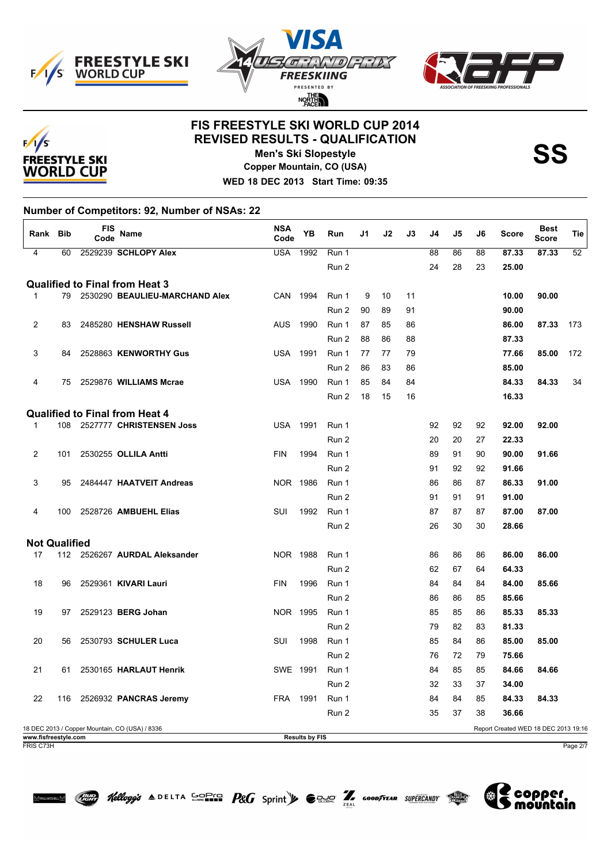





# **FIS FREESTYLE SKI WORLD CUP 2014 REVISED RESULTS - QUALIFICATION**



**Men's Ski Slopestyle** 

**Copper Mountain, CO (USA) WED 18 DEC 2013 Start Time: 09:35**

**Number of Competitors: 92, Number of NSAs: 22**

| Rank Bib             |     | FIS<br>Code | Name                                           | <b>NSA</b><br>Code | YB                    | Run   | J1 | J2 | J3 | J4 | J5 | J6 | <b>Score</b>                         | <b>Best</b><br><b>Score</b> | Tie |
|----------------------|-----|-------------|------------------------------------------------|--------------------|-----------------------|-------|----|----|----|----|----|----|--------------------------------------|-----------------------------|-----|
| $\overline{4}$       | 60  |             | 2529239 SCHLOPY Alex                           | <b>USA</b>         | 1992                  | Run 1 |    |    |    | 88 | 86 | 88 | 87.33                                | 87.33                       | 52  |
|                      |     |             |                                                |                    |                       | Run 2 |    |    |    | 24 | 28 | 23 | 25.00                                |                             |     |
|                      |     |             | <b>Qualified to Final from Heat 3</b>          |                    |                       |       |    |    |    |    |    |    |                                      |                             |     |
| $\mathbf{1}$         |     |             | 79 2530290 BEAULIEU-MARCHAND Alex              | CAN                | 1994                  | Run 1 | 9  | 10 | 11 |    |    |    | 10.00                                | 90.00                       |     |
|                      |     |             |                                                |                    |                       | Run 2 | 90 | 89 | 91 |    |    |    | 90.00                                |                             |     |
| $\overline{2}$       | 83  |             | 2485280 HENSHAW Russell                        | <b>AUS</b>         | 1990                  | Run 1 | 87 | 85 | 86 |    |    |    | 86.00                                | 87.33                       | 173 |
|                      |     |             |                                                |                    |                       | Run 2 | 88 | 86 | 88 |    |    |    | 87.33                                |                             |     |
| 3                    | 84  |             | 2528863 KENWORTHY Gus                          | <b>USA</b>         | 1991                  | Run 1 | 77 | 77 | 79 |    |    |    | 77.66                                | 85.00                       | 172 |
|                      |     |             |                                                |                    |                       | Run 2 | 86 | 83 | 86 |    |    |    | 85.00                                |                             |     |
| 4                    | 75  |             | 2529876 WILLIAMS Mcrae                         | <b>USA</b>         | 1990                  | Run 1 | 85 | 84 | 84 |    |    |    | 84.33                                | 84.33                       | 34  |
|                      |     |             |                                                |                    |                       | Run 2 | 18 | 15 | 16 |    |    |    | 16.33                                |                             |     |
|                      |     |             | <b>Qualified to Final from Heat 4</b>          |                    |                       |       |    |    |    |    |    |    |                                      |                             |     |
| $\mathbf{1}$         |     |             | 108 2527777 CHRISTENSEN Joss                   | USA                | 1991                  | Run 1 |    |    |    | 92 | 92 | 92 | 92.00                                | 92.00                       |     |
|                      |     |             |                                                |                    |                       | Run 2 |    |    |    | 20 | 20 | 27 | 22.33                                |                             |     |
| $\overline{2}$       | 101 |             | 2530255 OLLILA Antti                           | <b>FIN</b>         | 1994                  | Run 1 |    |    |    | 89 | 91 | 90 | 90.00                                | 91.66                       |     |
|                      |     |             |                                                |                    |                       | Run 2 |    |    |    | 91 | 92 | 92 | 91.66                                |                             |     |
| 3                    | 95  |             | 2484447 HAATVEIT Andreas                       | NOR 1986           |                       | Run 1 |    |    |    | 86 | 86 | 87 | 86.33                                | 91.00                       |     |
|                      |     |             |                                                |                    |                       | Run 2 |    |    |    | 91 | 91 | 91 | 91.00                                |                             |     |
| 4                    | 100 |             | 2528726 AMBUEHL Elias                          | SUI                | 1992                  | Run 1 |    |    |    | 87 | 87 | 87 | 87.00                                | 87.00                       |     |
|                      |     |             |                                                |                    |                       | Run 2 |    |    |    | 26 | 30 | 30 | 28.66                                |                             |     |
| <b>Not Qualified</b> |     |             |                                                |                    |                       |       |    |    |    |    |    |    |                                      |                             |     |
| 17                   |     |             | 112 2526267 AURDAL Aleksander                  | NOR 1988           |                       | Run 1 |    |    |    | 86 | 86 | 86 | 86.00                                | 86.00                       |     |
|                      |     |             |                                                |                    |                       | Run 2 |    |    |    | 62 | 67 | 64 | 64.33                                |                             |     |
| 18                   | 96  |             | 2529361 KIVARI Lauri                           | <b>FIN</b>         | 1996                  | Run 1 |    |    |    | 84 | 84 | 84 | 84.00                                | 85.66                       |     |
|                      |     |             |                                                |                    |                       | Run 2 |    |    |    | 86 | 86 | 85 | 85.66                                |                             |     |
| 19                   | 97  |             | 2529123 BERG Johan                             | NOR 1995           |                       | Run 1 |    |    |    | 85 | 85 | 86 | 85.33                                | 85.33                       |     |
|                      |     |             |                                                |                    |                       | Run 2 |    |    |    | 79 | 82 | 83 | 81.33                                |                             |     |
| 20                   | 56  |             | 2530793 SCHULER Luca                           | <b>SUI</b>         | 1998                  | Run 1 |    |    |    | 85 | 84 | 86 | 85.00                                | 85.00                       |     |
|                      |     |             |                                                |                    |                       | Run 2 |    |    |    | 76 | 72 | 79 | 75.66                                |                             |     |
| 21                   | 61  |             | 2530165 HARLAUT Henrik                         | SWE 1991           |                       | Run 1 |    |    |    | 84 | 85 | 85 | 84.66                                | 84.66                       |     |
|                      |     |             |                                                |                    |                       | Run 2 |    |    |    | 32 | 33 | 37 | 34.00                                |                             |     |
| 22                   | 116 |             | 2526932 PANCRAS Jeremy                         | <b>FRA</b>         | 1991                  | Run 1 |    |    |    | 84 | 84 | 85 | 84.33                                | 84.33                       |     |
|                      |     |             |                                                |                    |                       | Run 2 |    |    |    | 35 | 37 | 38 | 36.66                                |                             |     |
|                      |     |             | 18 DEC 2013 / Copper Mountain, CO (USA) / 8336 |                    |                       |       |    |    |    |    |    |    | Report Created WED 18 DEC 2013 19:16 |                             |     |
| www.fisfreestyle.com |     |             |                                                |                    | <b>Results by FIS</b> |       |    |    |    |    |    |    |                                      |                             |     |

Hellogg's  $\triangle$  DELTA SOFIS  $P$ &G Sprint  $\blacktriangleright$   $\ominus$  and  $\widehat{Z}$  goodfyear supercandy  $\widehat{Z}$ 

FRIS C73H Page 2/7

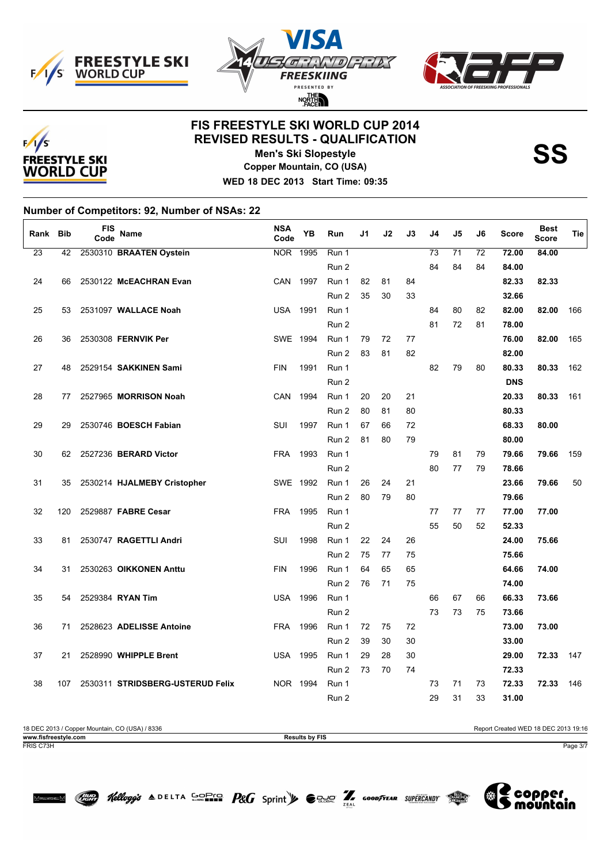





## **FIS FREESTYLE SKI WORLD CUP 2014 REVISED RESULTS - QUALIFICATION**



**Men's Ski Slopestyle Copper Mountain, CO (USA)**

**WED 18 DEC 2013 Start Time: 09:35**

**Number of Competitors: 92, Number of NSAs: 22**

| Rank            | <b>Bib</b> | <b>FIS</b><br>Code | Name                             | <b>NSA</b><br>Code | YB   | Run   | J1 | J2 | J3 | J4 | J5 | J6 | <b>Score</b> | <b>Best</b><br><b>Score</b> | <b>Tie</b> |
|-----------------|------------|--------------------|----------------------------------|--------------------|------|-------|----|----|----|----|----|----|--------------|-----------------------------|------------|
| $\overline{23}$ | 42         |                    | 2530310 BRAATEN Oystein          | <b>NOR</b>         | 1995 | Run 1 |    |    |    | 73 | 71 | 72 | 72.00        | 84.00                       |            |
|                 |            |                    |                                  |                    |      | Run 2 |    |    |    | 84 | 84 | 84 | 84.00        |                             |            |
| 24              | 66         |                    | 2530122 McEACHRAN Evan           | CAN                | 1997 | Run 1 | 82 | 81 | 84 |    |    |    | 82.33        | 82.33                       |            |
|                 |            |                    |                                  |                    |      | Run 2 | 35 | 30 | 33 |    |    |    | 32.66        |                             |            |
| 25              | 53         |                    | 2531097 WALLACE Noah             | <b>USA</b>         | 1991 | Run 1 |    |    |    | 84 | 80 | 82 | 82.00        | 82.00                       | 166        |
|                 |            |                    |                                  |                    |      | Run 2 |    |    |    | 81 | 72 | 81 | 78.00        |                             |            |
| 26              | 36         |                    | 2530308 FERNVIK Per              | SWE 1994           |      | Run 1 | 79 | 72 | 77 |    |    |    | 76.00        | 82.00                       | 165        |
|                 |            |                    |                                  |                    |      | Run 2 | 83 | 81 | 82 |    |    |    | 82.00        |                             |            |
| 27              | 48         |                    | 2529154 SAKKINEN Sami            | <b>FIN</b>         | 1991 | Run 1 |    |    |    | 82 | 79 | 80 | 80.33        | 80.33                       | 162        |
|                 |            |                    |                                  |                    |      | Run 2 |    |    |    |    |    |    | <b>DNS</b>   |                             |            |
| 28              | 77         |                    | 2527965 MORRISON Noah            | CAN                | 1994 | Run 1 | 20 | 20 | 21 |    |    |    | 20.33        | 80.33                       | 161        |
|                 |            |                    |                                  |                    |      | Run 2 | 80 | 81 | 80 |    |    |    | 80.33        |                             |            |
| 29              | 29         |                    | 2530746 BOESCH Fabian            | SUI                | 1997 | Run 1 | 67 | 66 | 72 |    |    |    | 68.33        | 80.00                       |            |
|                 |            |                    |                                  |                    |      | Run 2 | 81 | 80 | 79 |    |    |    | 80.00        |                             |            |
| 30              | 62         |                    | 2527236 BERARD Victor            | <b>FRA</b>         | 1993 | Run 1 |    |    |    | 79 | 81 | 79 | 79.66        | 79.66                       | 159        |
|                 |            |                    |                                  |                    |      | Run 2 |    |    |    | 80 | 77 | 79 | 78.66        |                             |            |
| 31              | 35         |                    | 2530214 HJALMEBY Cristopher      | SWE 1992           |      | Run 1 | 26 | 24 | 21 |    |    |    | 23.66        | 79.66                       | 50         |
|                 |            |                    |                                  |                    |      | Run 2 | 80 | 79 | 80 |    |    |    | 79.66        |                             |            |
| 32              | 120        |                    | 2529887 FABRE Cesar              | <b>FRA</b>         | 1995 | Run 1 |    |    |    | 77 | 77 | 77 | 77.00        | 77.00                       |            |
|                 |            |                    |                                  |                    |      | Run 2 |    |    |    | 55 | 50 | 52 | 52.33        |                             |            |
| 33              | 81         |                    | 2530747 RAGETTLI Andri           | SUI                | 1998 | Run 1 | 22 | 24 | 26 |    |    |    | 24.00        | 75.66                       |            |
|                 |            |                    |                                  |                    |      | Run 2 | 75 | 77 | 75 |    |    |    | 75.66        |                             |            |
| 34              | 31         |                    | 2530263 OIKKONEN Anttu           | <b>FIN</b>         | 1996 | Run 1 | 64 | 65 | 65 |    |    |    | 64.66        | 74.00                       |            |
|                 |            |                    |                                  |                    |      | Run 2 | 76 | 71 | 75 |    |    |    | 74.00        |                             |            |
| 35              | 54         |                    | 2529384 RYAN Tim                 | <b>USA</b>         | 1996 | Run 1 |    |    |    | 66 | 67 | 66 | 66.33        | 73.66                       |            |
|                 |            |                    |                                  |                    |      | Run 2 |    |    |    | 73 | 73 | 75 | 73.66        |                             |            |
| 36              | 71         |                    | 2528623 ADELISSE Antoine         | <b>FRA</b>         | 1996 | Run 1 | 72 | 75 | 72 |    |    |    | 73.00        | 73.00                       |            |
|                 |            |                    |                                  |                    |      | Run 2 | 39 | 30 | 30 |    |    |    | 33.00        |                             |            |
| 37              | 21         |                    | 2528990 WHIPPLE Brent            | <b>USA</b>         | 1995 | Run 1 | 29 | 28 | 30 |    |    |    | 29.00        | 72.33                       | 147        |
|                 |            |                    |                                  |                    |      | Run 2 | 73 | 70 | 74 |    |    |    | 72.33        |                             |            |
| 38              | 107        |                    | 2530311 STRIDSBERG-USTERUD Felix | NOR 1994           |      | Run 1 |    |    |    | 73 | 71 | 73 | 72.33        | 72.33                       | 146        |
|                 |            |                    |                                  |                    |      | Run 2 |    |    |    | 29 | 31 | 33 | 31.00        |                             |            |

18 DEC 2013 / Copper Mountain, CO (USA) / 8336 Results by FIS Report Created WED 18 DEC 2013 19:16<br>
Results by FIS **www.fisfreestyle.com Results by FIS** FRIS C73H Page 3/7

Hellogg's  $\triangle$  DELTA SOFIC  $P$ &G Sprint  $\blacktriangleright$   $\ominus$  and  $\widehat{Z}$  coodfrear supercandy  $\widehat{Z}$ 



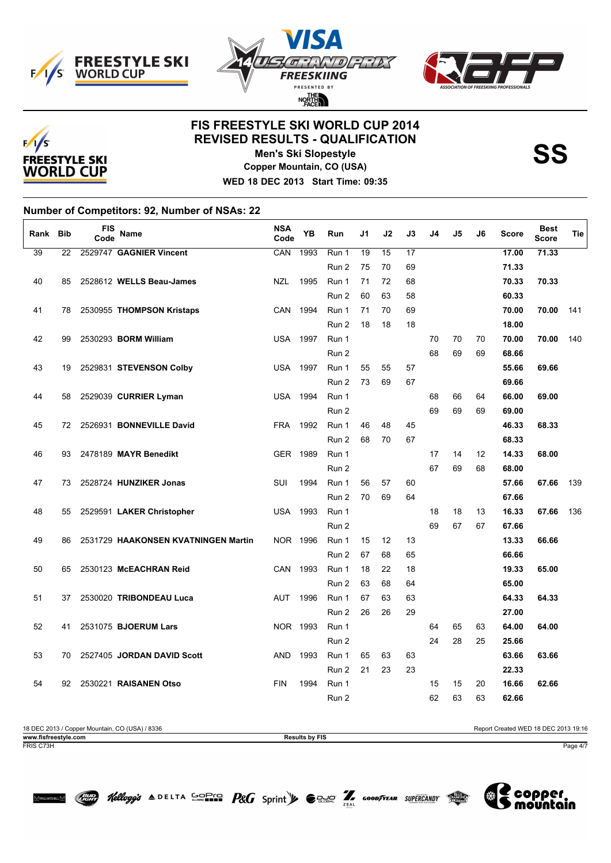





# **FIS FREESTYLE SKI WORLD CUP 2014 REVISED RESULTS - QUALIFICATION**



**Men's Ski Slopestyle Copper Mountain, CO (USA)** **SS**

**WED 18 DEC 2013 Start Time: 09:35**

**Number of Competitors: 92, Number of NSAs: 22**

| Rank | Bib | <b>FIS</b><br>Code | Name                                | <b>NSA</b><br>Code | YB   | Run   | J1 | J2              | J3              | J4 | J5 | J6 | Score | <b>Best</b><br><b>Score</b> | Tie |
|------|-----|--------------------|-------------------------------------|--------------------|------|-------|----|-----------------|-----------------|----|----|----|-------|-----------------------------|-----|
| 39   | 22  |                    | 2529747 GAGNIER Vincent             | CAN                | 1993 | Run 1 | 19 | $\overline{15}$ | $\overline{17}$ |    |    |    | 17.00 | 71.33                       |     |
|      |     |                    |                                     |                    |      | Run 2 | 75 | 70              | 69              |    |    |    | 71.33 |                             |     |
| 40   | 85  |                    | 2528612 WELLS Beau-James            | <b>NZL</b>         | 1995 | Run 1 | 71 | 72              | 68              |    |    |    | 70.33 | 70.33                       |     |
|      |     |                    |                                     |                    |      | Run 2 | 60 | 63              | 58              |    |    |    | 60.33 |                             |     |
| 41   | 78  |                    | 2530955 THOMPSON Kristaps           | CAN                | 1994 | Run 1 | 71 | 70              | 69              |    |    |    | 70.00 | 70.00                       | 141 |
|      |     |                    |                                     |                    |      | Run 2 | 18 | 18              | 18              |    |    |    | 18.00 |                             |     |
| 42   | 99  |                    | 2530293 BORM William                | <b>USA</b>         | 1997 | Run 1 |    |                 |                 | 70 | 70 | 70 | 70.00 | 70.00                       | 140 |
|      |     |                    |                                     |                    |      | Run 2 |    |                 |                 | 68 | 69 | 69 | 68.66 |                             |     |
| 43   | 19  |                    | 2529831 STEVENSON Colby             | <b>USA</b>         | 1997 | Run 1 | 55 | 55              | 57              |    |    |    | 55.66 | 69.66                       |     |
|      |     |                    |                                     |                    |      | Run 2 | 73 | 69              | 67              |    |    |    | 69.66 |                             |     |
| 44   | 58  |                    | 2529039 CURRIER Lyman               | <b>USA</b>         | 1994 | Run 1 |    |                 |                 | 68 | 66 | 64 | 66.00 | 69.00                       |     |
|      |     |                    |                                     |                    |      | Run 2 |    |                 |                 | 69 | 69 | 69 | 69.00 |                             |     |
| 45   | 72  |                    | 2526931 BONNEVILLE David            | <b>FRA</b>         | 1992 | Run 1 | 46 | 48              | 45              |    |    |    | 46.33 | 68.33                       |     |
|      |     |                    |                                     |                    |      | Run 2 | 68 | 70              | 67              |    |    |    | 68.33 |                             |     |
| 46   | 93  |                    | 2478189 MAYR Benedikt               | GER 1989           |      | Run 1 |    |                 |                 | 17 | 14 | 12 | 14.33 | 68.00                       |     |
|      |     |                    |                                     |                    |      | Run 2 |    |                 |                 | 67 | 69 | 68 | 68.00 |                             |     |
| 47   | 73  |                    | 2528724 HUNZIKER Jonas              | SUI                | 1994 | Run 1 | 56 | 57              | 60              |    |    |    | 57.66 | 67.66                       | 139 |
|      |     |                    |                                     |                    |      | Run 2 | 70 | 69              | 64              |    |    |    | 67.66 |                             |     |
| 48   | 55  |                    | 2529591 LAKER Christopher           | <b>USA</b>         | 1993 | Run 1 |    |                 |                 | 18 | 18 | 13 | 16.33 | 67.66                       | 136 |
|      |     |                    |                                     |                    |      | Run 2 |    |                 |                 | 69 | 67 | 67 | 67.66 |                             |     |
| 49   | 86  |                    | 2531729 HAAKONSEN KVATNINGEN Martin | NOR 1996           |      | Run 1 | 15 | 12              | 13              |    |    |    | 13.33 | 66.66                       |     |
|      |     |                    |                                     |                    |      | Run 2 | 67 | 68              | 65              |    |    |    | 66.66 |                             |     |
| 50   | 65  |                    | 2530123 McEACHRAN Reid              | CAN                | 1993 | Run 1 | 18 | 22              | 18              |    |    |    | 19.33 | 65.00                       |     |
|      |     |                    |                                     |                    |      | Run 2 | 63 | 68              | 64              |    |    |    | 65.00 |                             |     |
| 51   | 37  |                    | 2530020 TRIBONDEAU Luca             | <b>AUT</b>         | 1996 | Run 1 | 67 | 63              | 63              |    |    |    | 64.33 | 64.33                       |     |
|      |     |                    |                                     |                    |      | Run 2 | 26 | 26              | 29              |    |    |    | 27.00 |                             |     |
| 52   | 41  |                    | 2531075 BJOERUM Lars                | NOR 1993           |      | Run 1 |    |                 |                 | 64 | 65 | 63 | 64.00 | 64.00                       |     |
|      |     |                    |                                     |                    |      | Run 2 |    |                 |                 | 24 | 28 | 25 | 25.66 |                             |     |
| 53   | 70  |                    | 2527405 JORDAN DAVID Scott          | <b>AND</b>         | 1993 | Run 1 | 65 | 63              | 63              |    |    |    | 63.66 | 63.66                       |     |
|      |     |                    |                                     |                    |      | Run 2 | 21 | 23              | 23              |    |    |    | 22.33 |                             |     |
| 54   | 92  |                    | 2530221 RAISANEN Otso               | <b>FIN</b>         | 1994 | Run 1 |    |                 |                 | 15 | 15 | 20 | 16.66 | 62.66                       |     |
|      |     |                    |                                     |                    |      | Run 2 |    |                 |                 | 62 | 63 | 63 | 62.66 |                             |     |

Hellogg's  $\triangle$  DELTA SOFIC  $P$ &G Sprint  $\blacktriangleright$   $\ominus$  and  $\widehat{Z}$  coodfrear supercandy  $\widehat{Z}$ 

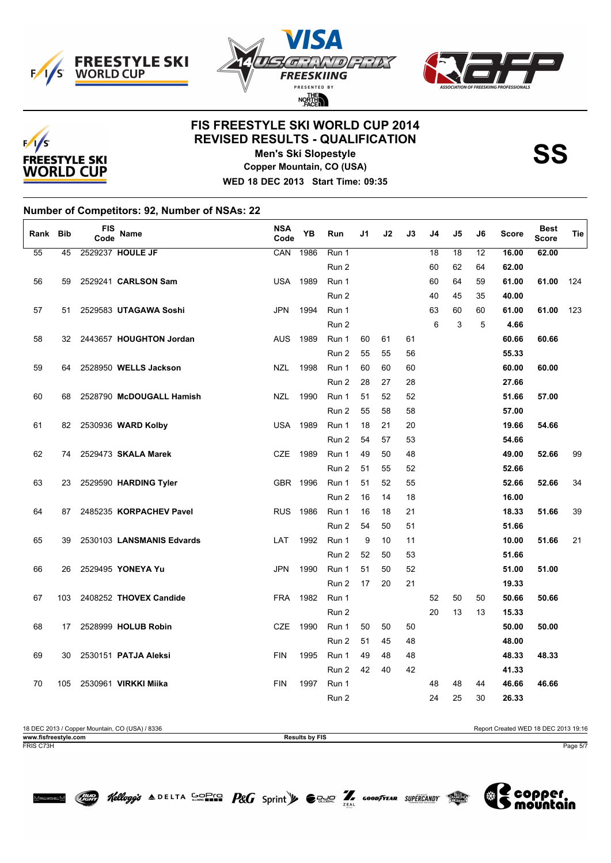





# **FIS FREESTYLE SKI WORLD CUP 2014 REVISED RESULTS - QUALIFICATION**



**Men's Ski Slopestyle Copper Mountain, CO (USA)**

**WED 18 DEC 2013 Start Time: 09:35**

**Number of Competitors: 92, Number of NSAs: 22**

| Rank | <b>Bib</b> | FIS<br>Code | Name                      | <b>NSA</b><br>Code | YB   | Run   | J1 | J2 | J3 | J4 | J5              | J6              | <b>Score</b> | <b>Best</b><br><b>Score</b> | Tie |
|------|------------|-------------|---------------------------|--------------------|------|-------|----|----|----|----|-----------------|-----------------|--------------|-----------------------------|-----|
| 55   | 45         |             | 2529237 HOULE JF          | CAN                | 1986 | Run 1 |    |    |    | 18 | $\overline{18}$ | $\overline{12}$ | 16.00        | 62.00                       |     |
|      |            |             |                           |                    |      | Run 2 |    |    |    | 60 | 62              | 64              | 62.00        |                             |     |
| 56   | 59         |             | 2529241 CARLSON Sam       | <b>USA</b>         | 1989 | Run 1 |    |    |    | 60 | 64              | 59              | 61.00        | 61.00                       | 124 |
|      |            |             |                           |                    |      | Run 2 |    |    |    | 40 | 45              | 35              | 40.00        |                             |     |
| 57   | 51         |             | 2529583 UTAGAWA Soshi     | <b>JPN</b>         | 1994 | Run 1 |    |    |    | 63 | 60              | 60              | 61.00        | 61.00                       | 123 |
|      |            |             |                           |                    |      | Run 2 |    |    |    | 6  | 3               | 5               | 4.66         |                             |     |
| 58   | 32         |             | 2443657 HOUGHTON Jordan   | <b>AUS</b>         | 1989 | Run 1 | 60 | 61 | 61 |    |                 |                 | 60.66        | 60.66                       |     |
|      |            |             |                           |                    |      | Run 2 | 55 | 55 | 56 |    |                 |                 | 55.33        |                             |     |
| 59   | 64         |             | 2528950 WELLS Jackson     | <b>NZL</b>         | 1998 | Run 1 | 60 | 60 | 60 |    |                 |                 | 60.00        | 60.00                       |     |
|      |            |             |                           |                    |      | Run 2 | 28 | 27 | 28 |    |                 |                 | 27.66        |                             |     |
| 60   | 68         |             | 2528790 McDOUGALL Hamish  | <b>NZL</b>         | 1990 | Run 1 | 51 | 52 | 52 |    |                 |                 | 51.66        | 57.00                       |     |
|      |            |             |                           |                    |      | Run 2 | 55 | 58 | 58 |    |                 |                 | 57.00        |                             |     |
| 61   | 82         |             | 2530936 WARD Kolby        | <b>USA</b>         | 1989 | Run 1 | 18 | 21 | 20 |    |                 |                 | 19.66        | 54.66                       |     |
|      |            |             |                           |                    |      | Run 2 | 54 | 57 | 53 |    |                 |                 | 54.66        |                             |     |
| 62   | 74         |             | 2529473 SKALA Marek       | <b>CZE</b>         | 1989 | Run 1 | 49 | 50 | 48 |    |                 |                 | 49.00        | 52.66                       | 99  |
|      |            |             |                           |                    |      | Run 2 | 51 | 55 | 52 |    |                 |                 | 52.66        |                             |     |
| 63   | 23         |             | 2529590 HARDING Tyler     | GBR 1996           |      | Run 1 | 51 | 52 | 55 |    |                 |                 | 52.66        | 52.66                       | 34  |
|      |            |             |                           |                    |      | Run 2 | 16 | 14 | 18 |    |                 |                 | 16.00        |                             |     |
| 64   | 87         |             | 2485235 KORPACHEV Pavel   | <b>RUS</b>         | 1986 | Run 1 | 16 | 18 | 21 |    |                 |                 | 18.33        | 51.66                       | 39  |
|      |            |             |                           |                    |      | Run 2 | 54 | 50 | 51 |    |                 |                 | 51.66        |                             |     |
| 65   | 39         |             | 2530103 LANSMANIS Edvards | LAT                | 1992 | Run 1 | 9  | 10 | 11 |    |                 |                 | 10.00        | 51.66                       | 21  |
|      |            |             |                           |                    |      | Run 2 | 52 | 50 | 53 |    |                 |                 | 51.66        |                             |     |
| 66   | 26         |             | 2529495 YONEYA Yu         | <b>JPN</b>         | 1990 | Run 1 | 51 | 50 | 52 |    |                 |                 | 51.00        | 51.00                       |     |
|      |            |             |                           |                    |      | Run 2 | 17 | 20 | 21 |    |                 |                 | 19.33        |                             |     |
| 67   | 103        |             | 2408252 THOVEX Candide    | <b>FRA</b>         | 1982 | Run 1 |    |    |    | 52 | 50              | 50              | 50.66        | 50.66                       |     |
|      |            |             |                           |                    |      | Run 2 |    |    |    | 20 | 13              | 13              | 15.33        |                             |     |
| 68   | 17         |             | 2528999 HOLUB Robin       | <b>CZE</b>         | 1990 | Run 1 | 50 | 50 | 50 |    |                 |                 | 50.00        | 50.00                       |     |
|      |            |             |                           |                    |      | Run 2 | 51 | 45 | 48 |    |                 |                 | 48.00        |                             |     |
| 69   | 30         |             | 2530151 PATJA Aleksi      | <b>FIN</b>         | 1995 | Run 1 | 49 | 48 | 48 |    |                 |                 | 48.33        | 48.33                       |     |
|      |            |             |                           |                    |      | Run 2 | 42 | 40 | 42 |    |                 |                 | 41.33        |                             |     |
| 70   | 105        |             | 2530961 VIRKKI Miika      | <b>FIN</b>         | 1997 | Run 1 |    |    |    | 48 | 48              | 44              | 46.66        | 46.66                       |     |
|      |            |             |                           |                    |      | Run 2 |    |    |    | 24 | 25              | 30              | 26.33        |                             |     |

18 DEC 2013 / Copper Mountain, CO (USA) / 8336 Results by FIS Report Created WED 18 DEC 2013 19:16<br>
Results by FIS **www.fisfreestyle.com Results by FIS** FRIS C73H Page 5/7

Hellogg's  $\triangle$  DELTA SOFIS  $P$ &G Sprint  $\blacktriangleright$   $\ominus$  and  $\widehat{Z}$  goodfrear supercandy  $\widehat{Z}$ 

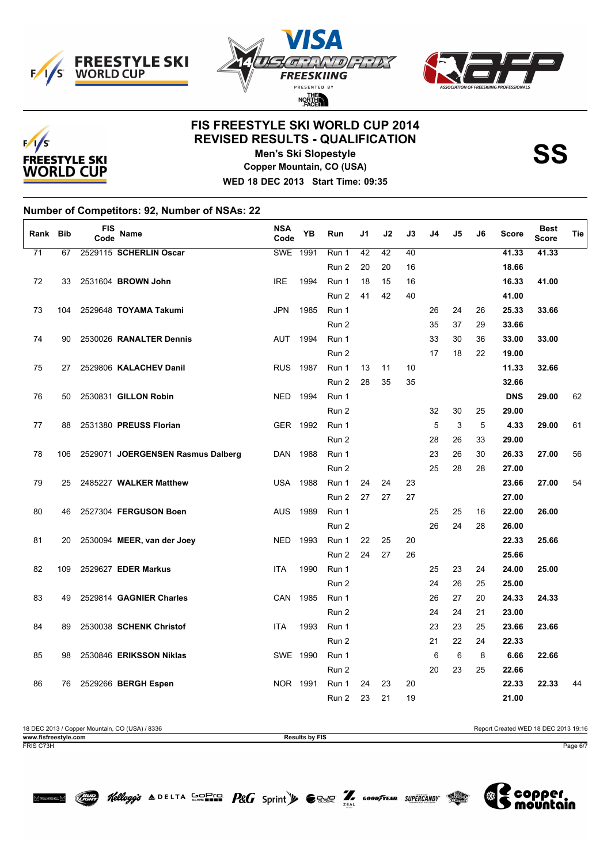





# **FIS FREESTYLE SKI WORLD CUP 2014 REVISED RESULTS - QUALIFICATION**



**Men's Ski Slopestyle Copper Mountain, CO (USA)** **SS**

**WED 18 DEC 2013 Start Time: 09:35**

**Number of Competitors: 92, Number of NSAs: 22**

| Rank Bib        |     | FIS<br>Code | Name                              | <b>NSA</b><br>Code | <b>YB</b> | Run   | J1 | J2 | J3 | J4 | J5 | J6 | <b>Score</b> | <b>Best</b><br>Score | Tie |
|-----------------|-----|-------------|-----------------------------------|--------------------|-----------|-------|----|----|----|----|----|----|--------------|----------------------|-----|
| $\overline{71}$ | 67  |             | 2529115 SCHERLIN Oscar            | <b>SWE</b>         | 1991      | Run 1 | 42 | 42 | 40 |    |    |    | 41.33        | 41.33                |     |
|                 |     |             |                                   |                    |           | Run 2 | 20 | 20 | 16 |    |    |    | 18.66        |                      |     |
| 72              | 33  |             | 2531604 BROWN John                | <b>IRE</b>         | 1994      | Run 1 | 18 | 15 | 16 |    |    |    | 16.33        | 41.00                |     |
|                 |     |             |                                   |                    |           | Run 2 | 41 | 42 | 40 |    |    |    | 41.00        |                      |     |
| 73              | 104 |             | 2529648 TOYAMA Takumi             | <b>JPN</b>         | 1985      | Run 1 |    |    |    | 26 | 24 | 26 | 25.33        | 33.66                |     |
|                 |     |             |                                   |                    |           | Run 2 |    |    |    | 35 | 37 | 29 | 33.66        |                      |     |
| 74              | 90  |             | 2530026 RANALTER Dennis           | <b>AUT</b>         | 1994      | Run 1 |    |    |    | 33 | 30 | 36 | 33.00        | 33.00                |     |
|                 |     |             |                                   |                    |           | Run 2 |    |    |    | 17 | 18 | 22 | 19.00        |                      |     |
| 75              | 27  |             | 2529806 KALACHEV Danil            | <b>RUS</b>         | 1987      | Run 1 | 13 | 11 | 10 |    |    |    | 11.33        | 32.66                |     |
|                 |     |             |                                   |                    |           | Run 2 | 28 | 35 | 35 |    |    |    | 32.66        |                      |     |
| 76              | 50  |             | 2530831 GILLON Robin              | <b>NED</b>         | 1994      | Run 1 |    |    |    |    |    |    | <b>DNS</b>   | 29.00                | 62  |
|                 |     |             |                                   |                    |           | Run 2 |    |    |    | 32 | 30 | 25 | 29.00        |                      |     |
| 77              | 88  |             | 2531380 PREUSS Florian            | GER 1992           |           | Run 1 |    |    |    | 5  | 3  | 5  | 4.33         | 29.00                | 61  |
|                 |     |             |                                   |                    |           | Run 2 |    |    |    | 28 | 26 | 33 | 29.00        |                      |     |
| 78              | 106 |             | 2529071 JOERGENSEN Rasmus Dalberg | DAN                | 1988      | Run 1 |    |    |    | 23 | 26 | 30 | 26.33        | 27.00                | 56  |
|                 |     |             |                                   |                    |           | Run 2 |    |    |    | 25 | 28 | 28 | 27.00        |                      |     |
| 79              | 25  |             | 2485227 WALKER Matthew            | <b>USA</b>         | 1988      | Run 1 | 24 | 24 | 23 |    |    |    | 23.66        | 27.00                | 54  |
|                 |     |             |                                   |                    |           | Run 2 | 27 | 27 | 27 |    |    |    | 27.00        |                      |     |
| 80              | 46  |             | 2527304 FERGUSON Boen             | <b>AUS</b>         | 1989      | Run 1 |    |    |    | 25 | 25 | 16 | 22.00        | 26.00                |     |
|                 |     |             |                                   |                    |           | Run 2 |    |    |    | 26 | 24 | 28 | 26.00        |                      |     |
| 81              | 20  |             | 2530094 MEER, van der Joey        | <b>NED</b>         | 1993      | Run 1 | 22 | 25 | 20 |    |    |    | 22.33        | 25.66                |     |
|                 |     |             |                                   |                    |           | Run 2 | 24 | 27 | 26 |    |    |    | 25.66        |                      |     |
| 82              | 109 |             | 2529627 EDER Markus               | <b>ITA</b>         | 1990      | Run 1 |    |    |    | 25 | 23 | 24 | 24.00        | 25.00                |     |
|                 |     |             |                                   |                    |           | Run 2 |    |    |    | 24 | 26 | 25 | 25.00        |                      |     |
| 83              | 49  |             | 2529814 GAGNIER Charles           | CAN                | 1985      | Run 1 |    |    |    | 26 | 27 | 20 | 24.33        | 24.33                |     |
|                 |     |             |                                   |                    |           | Run 2 |    |    |    | 24 | 24 | 21 | 23.00        |                      |     |
| 84              | 89  |             | 2530038 SCHENK Christof           | <b>ITA</b>         | 1993      | Run 1 |    |    |    | 23 | 23 | 25 | 23.66        | 23.66                |     |
|                 |     |             |                                   |                    |           | Run 2 |    |    |    | 21 | 22 | 24 | 22.33        |                      |     |
| 85              | 98  |             | 2530846 ERIKSSON Niklas           | SWE 1990           |           | Run 1 |    |    |    | 6  | 6  | 8  | 6.66         | 22.66                |     |
|                 |     |             |                                   |                    |           | Run 2 |    |    |    | 20 | 23 | 25 | 22.66        |                      |     |
| 86              | 76  |             | 2529266 BERGH Espen               | NOR 1991           |           | Run 1 | 24 | 23 | 20 |    |    |    | 22.33        | 22.33                | 44  |
|                 |     |             |                                   |                    |           | Run 2 | 23 | 21 | 19 |    |    |    | 21.00        |                      |     |